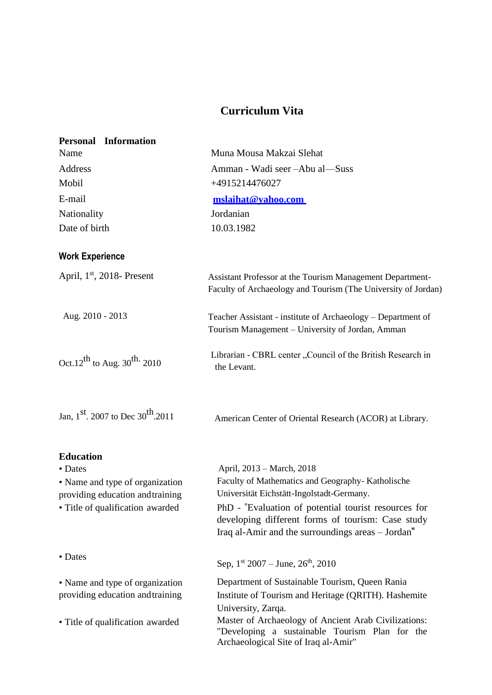## **Curriculum Vita**

| <b>Personal Information</b>                                         |                                                                                                                                                                |
|---------------------------------------------------------------------|----------------------------------------------------------------------------------------------------------------------------------------------------------------|
| Name                                                                | Muna Mousa Makzai Slehat                                                                                                                                       |
| Address                                                             | Amman - Wadi seer - Abu al - Suss                                                                                                                              |
| Mobil                                                               | +4915214476027                                                                                                                                                 |
| E-mail                                                              | mslaihat@vahoo.com                                                                                                                                             |
| Nationality                                                         | Jordanian                                                                                                                                                      |
| Date of birth                                                       | 10.03.1982                                                                                                                                                     |
| <b>Work Experience</b>                                              |                                                                                                                                                                |
| April, $1st$ , 2018- Present                                        | Assistant Professor at the Tourism Management Department-<br>Faculty of Archaeology and Tourism (The University of Jordan)                                     |
| Aug. 2010 - 2013                                                    | Teacher Assistant - institute of Archaeology - Department of<br>Tourism Management - University of Jordan, Amman                                               |
| Oct.12 <sup>th</sup> to Aug. 30 <sup>th.</sup> 2010                 | Librarian - CBRL center "Council of the British Research in<br>the Levant.                                                                                     |
| Jan, $1^{st}$ . 2007 to Dec $30^{th}$ .2011                         | American Center of Oriental Research (ACOR) at Library.                                                                                                        |
| <b>Education</b>                                                    |                                                                                                                                                                |
| • Dates                                                             | April, 2013 – March, 2018                                                                                                                                      |
| • Name and type of organization<br>providing education and training | Faculty of Mathematics and Geography- Katholische<br>Universität Eichstätt-Ingolstadt-Germany.                                                                 |
| • Title of qualification awarded                                    | PhD - "Evaluation of potential tourist resources for<br>developing different forms of tourism: Case study<br>Iraq al-Amir and the surroundings areas - Jordan" |
| • Dates                                                             | Sep, $1^{st}$ 2007 – June, $26^{th}$ , 2010                                                                                                                    |
| • Name and type of organization                                     | Department of Sustainable Tourism, Queen Rania                                                                                                                 |
| providing education and training                                    | Institute of Tourism and Heritage (QRITH). Hashemite<br>University, Zarqa.                                                                                     |
| • Title of qualification awarded                                    | Master of Archaeology of Ancient Arab Civilizations:<br>"Developing a sustainable Tourism Plan for the<br>Archaeological Site of Iraq al-Amir"                 |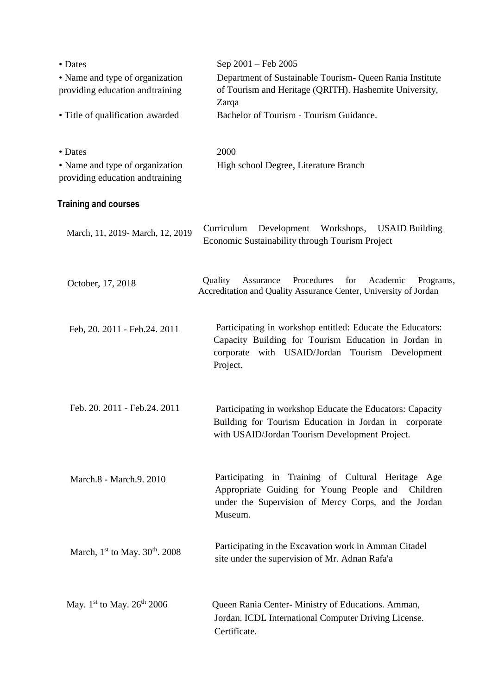| • Dates                                                             | Sep 2001 – Feb 2005                                                                                                                                                               |
|---------------------------------------------------------------------|-----------------------------------------------------------------------------------------------------------------------------------------------------------------------------------|
| • Name and type of organization<br>providing education and training | Department of Sustainable Tourism- Queen Rania Institute<br>of Tourism and Heritage (QRITH). Hashemite University,                                                                |
| • Title of qualification awarded                                    | Zarqa<br>Bachelor of Tourism - Tourism Guidance.                                                                                                                                  |
| • Dates                                                             | 2000                                                                                                                                                                              |
| • Name and type of organization<br>providing education and training | High school Degree, Literature Branch                                                                                                                                             |
| <b>Training and courses</b>                                         |                                                                                                                                                                                   |
| March, 11, 2019- March, 12, 2019                                    | Development<br>Curriculum<br>Workshops,<br><b>USAID Building</b><br>Economic Sustainability through Tourism Project                                                               |
| October, 17, 2018                                                   | Procedures<br>for<br>Quality<br>Assurance<br>Academic<br>Programs,<br>Accreditation and Quality Assurance Center, University of Jordan                                            |
| Feb, 20. 2011 - Feb.24. 2011                                        | Participating in workshop entitled: Educate the Educators:<br>Capacity Building for Tourism Education in Jordan in<br>corporate with USAID/Jordan Tourism Development<br>Project. |
| Feb. 20. 2011 - Feb. 24. 2011                                       | Participating in workshop Educate the Educators: Capacity<br>Building for Tourism Education in Jordan in corporate<br>with USAID/Jordan Tourism Development Project.              |
| March.8 - March.9. 2010                                             | Participating in Training of Cultural Heritage Age<br>Appropriate Guiding for Young People and<br>Children<br>under the Supervision of Mercy Corps, and the Jordan<br>Museum.     |
| March, $1st$ to May. $30th$ . 2008                                  | Participating in the Excavation work in Amman Citadel<br>site under the supervision of Mr. Adnan Rafa'a                                                                           |
| May. $1^{st}$ to May. $26^{th}$ 2006                                | Queen Rania Center-Ministry of Educations. Amman,<br>Jordan. ICDL International Computer Driving License.<br>Certificate.                                                         |